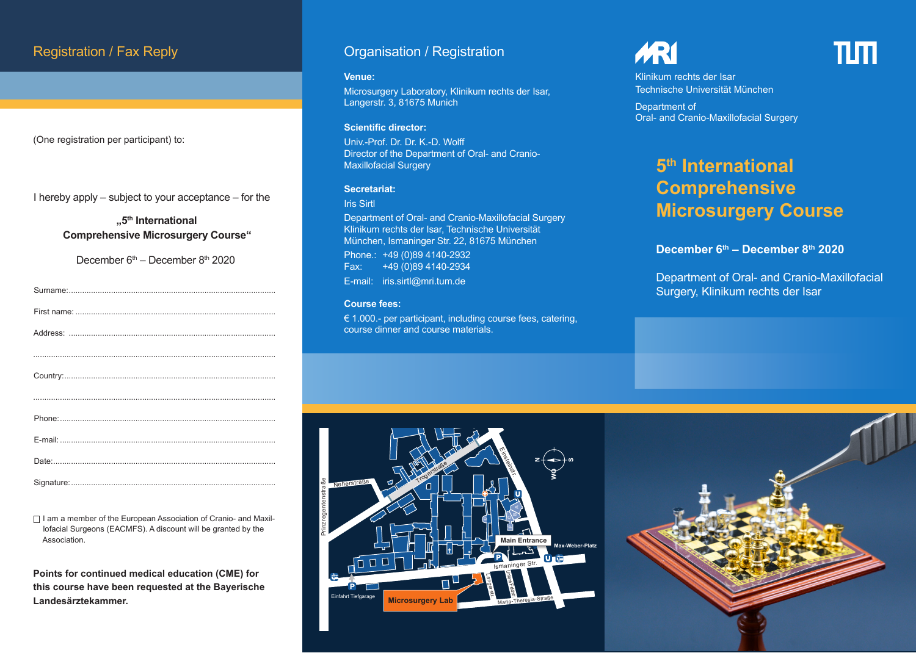(One registration per participant) to:

I hereby apply – subject to your acceptance – for the

**"5th International Comprehensive Microsurgery Course"**

December  $6<sup>th</sup>$  – December  $8<sup>th</sup>$  2020

 $\Box$  I am a member of the European Association of Cranio- and Maxillofacial Surgeons (EACMFS). A discount will be granted by the Association.

**Points for continued medical education (CME) for this course have been requested at the Bayerische Landesärztekammer.**

## Registration / Fax Reply **Constration Accepts** Organisation / Registration

#### **Venue:**

Microsurgery Laboratory, Klinikum rechts der Isar, Langerstr. 3, 81675 Munich

#### **Scientific director:**

Univ.-Prof. Dr. Dr. K.-D. Wolff Director of the Department of Oral- and Cranio-Maxillofacial Surgery

#### **Secretariat:**

#### Iris Sirtl

Department of Oral- and Cranio-Maxillofacial Surgery Klinikum rechts der Isar, Technische Universität München, Ismaninger Str. 22, 81675 München Phone.: +49 (0)89 4140-2932<br>Fax: +49 (0)89 4140-2934 Fax: +49 (0)89 4140-2934 E-mail: iris.sirtl@mri.tum.de

#### **Course fees:**

Nigerstraß <sup>e</sup>

€ 1.000.- per participant, including course fees, catering, course dinner and course materials.

# **ARI**

ππ

Klinikum rechts der Isar Technische Universität München

Department of Oral- and Cranio-Maxillofacial Surgery

# **5th International Comprehensive Microsurgery Course**

### **December 6th – December 8th 2020**

Department of Oral- and Cranio-Maxillofacial Surgery, Klinikum rechts der Isar